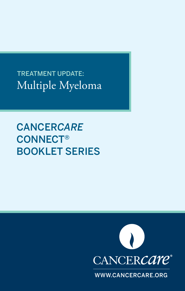Multiple Myeloma TREATMENT UPDATE:

CANCER*CARE* CONNECT® BOOKLET SERIES



WWW.CANCERCARE.ORG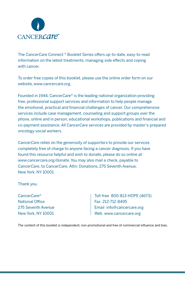

The Cancer*Care* Connect ® Booklet Series offers up-to-date, easy-to-read information on the latest treatments, managing side effects and coping with cancer.

To order free copies of this booklet, please use the online order form on our website, www.cancercare.org.

Founded in 1944, Cancer*Care*® is the leading national organization providing free, professional support services and information to help people manage the emotional, practical and financial challenges of cancer. Our comprehensive services include case management, counseling and support groups over the phone, online and in person, educational workshops, publications and financial and co-payment assistance. All Cancer*Care* services are provided by master's-prepared oncology social workers.

Cancer*Care* relies on the generosity of supporters to provide our services completely free of charge to anyone facing a cancer diagnosis. If you have found this resource helpful and wish to donate, please do so online at www.cancercare.org/donate. You may also mail a check, payable to Cancer*Care*, to Cancer*Care*, Attn: Donations, 275 Seventh Avenue, New York, NY 10001.

Thank you.

Cancer*Care*® National Office 275 Seventh Avenue New York, NY 10001 Toll-free 800-813-HOPE (4673) Fax 212-712-8495 Email info@cancercare.org Web www.cancercare.org

The content of this booklet is independent, non-promotional and free of commercial influence and bias.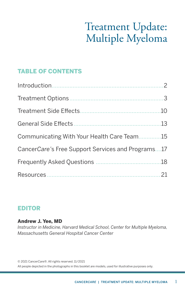# Treatment Update: Multiple Myeloma

## TABLE OF CONTENTS

| Communicating With Your Health Care Team15        |  |
|---------------------------------------------------|--|
| CancerCare's Free Support Services and Programs17 |  |
|                                                   |  |
|                                                   |  |

### EDITOR

### Andrew J. Yee, MD

*Instructor in Medicine, Harvard Medical School, Center for Multiple Myeloma, Massachusetts General Hospital Cancer Center*

© 2021 Cancer*Care*®. All rights reserved. 11/2021 All people depicted in the photographs in this booklet are models, used for illustrative purposes only.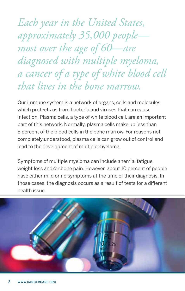<span id="page-3-0"></span>*Each year in the United States, approximately 35,000 people most over the age of 60—are diagnosed with multiple myeloma, a cancer of a type of white blood cell that lives in the bone marrow.* 

Our immune system is a network of organs, cells and molecules which protects us from bacteria and viruses that can cause infection. Plasma cells, a type of white blood cell, are an important part of this network. Normally, plasma cells make up less than 5 percent of the blood cells in the bone marrow. For reasons not completely understood, plasma cells can grow out of control and lead to the development of multiple myeloma.

Symptoms of multiple myeloma can include anemia, fatigue, weight loss and/or bone pain. However, about 10 percent of people have either mild or no symptoms at the time of their diagnosis. In those cases, the diagnosis occurs as a result of tests for a different health issue.

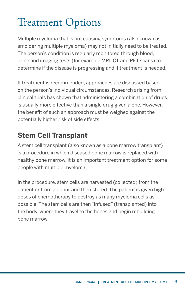# <span id="page-4-0"></span>Treatment Options

Multiple myeloma that is not causing symptoms (also known as smoldering multiple myeloma) may not initially need to be treated. The person's condition is regularly monitored through blood, urine and imaging tests (for example MRI, CT and PET scans) to determine if the disease is progressing and if treatment is needed.

If treatment is recommended, approaches are discussed based on the person's individual circumstances. Research arising from clinical trials has shown that administering a combination of drugs is usually more effective than a single drug given alone. However, the benefit of such an approach must be weighed against the potentially higher risk of side effects.

## **Stem Cell Transplant**

A stem cell transplant (also known as a bone marrow transplant) is a procedure in which diseased bone marrow is replaced with healthy bone marrow. It is an important treatment option for some people with multiple myeloma.

In the procedure, stem cells are harvested (collected) from the patient or from a donor and then stored. The patient is given high doses of chemotherapy to destroy as many myeloma cells as possible. The stem cells are then "infused" (transplanted) into the body, where they travel to the bones and begin rebuilding bone marrow.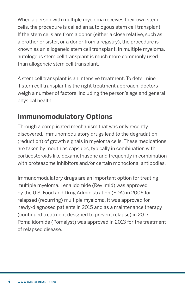When a person with multiple myeloma receives their own stem cells, the procedure is called an autologous stem cell transplant. If the stem cells are from a donor (either a close relative, such as a brother or sister, or a donor from a registry), the procedure is known as an allogeneic stem cell transplant. In multiple myeloma, autologous stem cell transplant is much more commonly used than allogeneic stem cell transplant.

A stem cell transplant is an intensive treatment. To determine if stem cell transplant is the right treatment approach, doctors weigh a number of factors, including the person's age and general physical health.

## **Immunomodulatory Options**

Through a complicated mechanism that was only recently discovered, immunomodulatory drugs lead to the degradation (reduction) of growth signals in myeloma cells. These medications are taken by mouth as capsules, typically in combination with corticosteroids like dexamethasone and frequently in combination with proteasome inhibitors and/or certain monoclonal antibodies.

Immunomodulatory drugs are an important option for treating multiple myeloma. Lenalidomide (Revlimid) was approved by the U.S. Food and Drug Administration (FDA) in 2006 for relapsed (recurring) multiple myeloma. It was approved for newly-diagnosed patients in 2015 and as a maintenance therapy (continued treatment designed to prevent relapse) in 2017. Pomalidomide (Pomalyst) was approved in 2013 for the treatment of relapsed disease.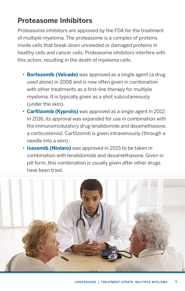## **Proteasome Inhibitors**

Proteasome inhibitors are approved by the FDA for the treatment of multiple myeloma. The proteasome is a complex of proteins inside cells that break down unneeded or damaged proteins in healthy cells and cancer cells. Proteasome inhibitors interfere with this action, resulting in the death of myeloma cells.

- **Bortezomib (Velcade)** was approved as a single agent (a drug used alone) in 2008 and is now often given in combination with other treatments as a first-line therapy for multiple myeloma. It is typically given as a shot subcutaneously (under the skin).
- **Carfilzomib (Kyprolis)** was approved as a single agent in 2012. In 2016, its approval was expanded for use in combination with the immunomodulatory drug lenalidomide and dexamethasone, a corticosteroid. Carfilzomib is given intravenously (through a needle into a vein).
- **Ixazomib (Ninlaro)** was approved in 2015 to be taken in combination with lenalidomide and dexamethasone. Given in pill form, this combination is usually given after other drugs have been tried.

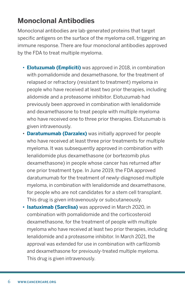## **Monoclonal Antibodies**

Monoclonal antibodies are lab-generated proteins that target specific antigens on the surface of the myeloma cell, triggering an immune response. There are four monoclonal antibodies approved by the FDA to treat multiple myeloma.

- **Elotuzumab (Empliciti)** was approved in 2018, in combination with pomalidomide and dexamethasone, for the treatment of relapsed or refractory (resistant to treatment) myeloma in people who have received at least two prior therapies, including alidomide and a proteasome inhibitor. Elotuzumab had previously been approved in combination with lenalidomide and dexamethasone to treat people with multiple myeloma who have received one to three prior therapies. Elotuzumab is given intravenously.
- **Daratumumab (Darzalex)** was initially approved for people who have received at least three prior treatments for multiple myeloma. It was subsequently approved in combination with lenalidomide plus dexamethasone (or bortezomib plus dexamethasone) in people whose cancer has returned after one prior treatment type. In June 2019, the FDA approved daratumumab for the treatment of newly-diagnosed multiple myeloma, in combination with lenalidomide and dexamethasone, for people who are not candidates for a stem cell transplant. This drug is given intravenously or subcutaneously.
- **• Isatuximab (Sarclisa)** was approved in March 2020, in combination with pomalidomide and the corticosteroid dexamethasone, for the treatment of people with multiple myeloma who have received at least two prior therapies, including lenalidomide and a proteasome inhibitor. In March 2021, the approval was extended for use in combination with carfilzomib and dexamethasone for previously-treated multiple myeloma. This drug is given intravenously.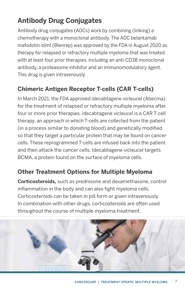## **Antibody Drug Conjugates**

Antibody drug conjugates (ADCs) work by combining (linking) a chemotherapy with a monoclonal antibody. The ADC belantamab mafodotin-blmf (Blenrep) was approved by the FDA in August 2020 as therapy for relapsed or refractory multiple myeloma that was treated with at least four prior therapies, including an anti-CD38 monoclonal antibody, a proteasome inhibitor and an immunomodulatory agent. This drug is given intravenously.

## **Chimeric Antigen Receptor T-cells (CAR T-cells)**

In March 2021, the FDA approved idecabtagene vicleucel (Abecma) for the treatment of relapsed or refractory multiple myeloma after four or more prior therapies. Idecabtagene vicleucel is a CAR T-cell therapy, an approach in which T-cells are collected from the patient (in a process similar to donating blood) and genetically modified so that they target a particular protein that may be found on cancer cells. These reprogrammed T-cells are infused back into the patient and then attack the cancer cells. Idecabtagene vicleucel targets BCMA, a protein found on the surface of myeloma cells.

### **Other Treatment Options for Multiple Myeloma**

**Corticosteroids,** such as prednisone and dexamethasone, control inflammation in the body and can also fight myeloma cells. Corticosteroids can be taken in pill form or given intravenously. In combination with other drugs, corticosteroids are often used throughout the course of multiple myeloma treatment.

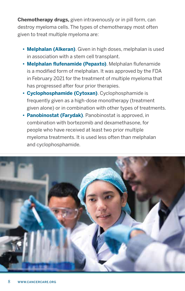**Chemotherapy drugs,** given intravenously or in pill form, can destroy myeloma cells. The types of chemotherapy most often given to treat multiple myeloma are:

- **• Melphalan (Alkeran)**. Given in high doses, melphalan is used in association with a stem cell transplant.
- **• Melphalan flufenamide (Pepaxto)**. Melphalan flufenamide is a modified form of melphalan. It was approved by the FDA in February 2021 for the treatment of multiple myeloma that has progressed after four prior therapies.
- **• Cyclophosphamide (Cytoxan)**. Cyclophosphamide is frequently given as a high-dose monotherapy (treatment given alone) or in combination with other types of treatments.
- **• Panobinostat (Farydak)**. Panobinostat is approved, in combination with bortezomib and dexamethasone, for people who have received at least two prior multiple myeloma treatments. It is used less often than melphalan and cyclophosphamide.

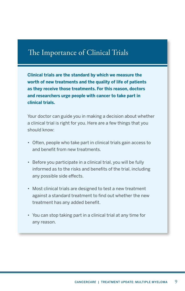## The Importance of Clinical Trials

**Clinical trials are the standard by which we measure the worth of new treatments and the quality of life of patients as they receive those treatments. For this reason, doctors and researchers urge people with cancer to take part in clinical trials.**

Your doctor can guide you in making a decision about whether a clinical trial is right for you. Here are a few things that you should know:

- Often, people who take part in clinical trials gain access to and benefit from new treatments.
- Before you participate in a clinical trial, you will be fully informed as to the risks and benefits of the trial, including any possible side effects.
- Most clinical trials are designed to test a new treatment against a standard treatment to find out whether the new treatment has any added benefit.
- You can stop taking part in a clinical trial at any time for any reason.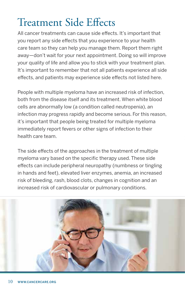# <span id="page-11-0"></span>Treatment Side Effects

All cancer treatments can cause side effects. It's important that you report any side effects that you experience to your health care team so they can help you manage them. Report them right away—don't wait for your next appointment. Doing so will improve your quality of life and allow you to stick with your treatment plan. It's important to remember that not all patients experience all side effects, and patients may experience side effects not listed here.

People with multiple myeloma have an increased risk of infection, both from the disease itself and its treatment. When white blood cells are abnormally low (a condition called neutropenia), an infection may progress rapidly and become serious. For this reason, it's important that people being treated for multiple myeloma immediately report fevers or other signs of infection to their health care team.

The side effects of the approaches in the treatment of multiple myeloma vary based on the specific therapy used. These side effects can include peripheral neuropathy (numbness or tingling in hands and feet), elevated liver enzymes, anemia, an increased risk of bleeding, rash, blood clots, changes in cognition and an increased risk of cardiovascular or pulmonary conditions.

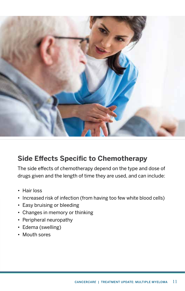

## **Side Effects Specific to Chemotherapy**

The side effects of chemotherapy depend on the type and dose of drugs given and the length of time they are used, and can include:

- Hair loss
- Increased risk of infection (from having too few white blood cells)
- Easy bruising or bleeding
- Changes in memory or thinking
- Peripheral neuropathy
- Edema (swelling)
- Mouth sores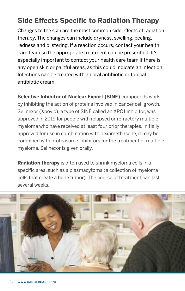## **Side Effects Specific to Radiation Therapy**

Changes to the skin are the most common side effects of radiation therapy. The changes can include dryness, swelling, peeling, redness and blistering. If a reaction occurs, contact your health care team so the appropriate treatment can be prescribed. It's especially important to contact your health care team if there is any open skin or painful areas, as this could indicate an infection. Infections can be treated with an oral antibiotic or topical antibiotic cream.

**Selective Inhibitor of Nuclear Export (SINE)** compounds work by inhibiting the action of proteins involved in cancer cell growth. Selinexor (Xpovio), a type of SINE called an XPO1 inhibitor, was approved in 2019 for people with relapsed or refractory multiple myeloma who have received at least four prior therapies. Initially approved for use in combination with dexamethasone, it may be combined with proteasome inhibitors for the treatment of multiple myeloma. Selinexor is given orally.

**Radiation therapy** is often used to shrink myeloma cells in a specific area, such as a plasmacytoma (a collection of myeloma cells that create a bone tumor). The course of treatment can last several weeks.

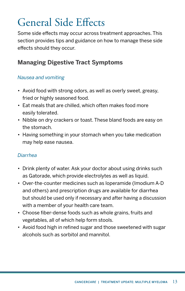# <span id="page-14-0"></span>General Side Effects

Some side effects may occur across treatment approaches. This section provides tips and guidance on how to manage these side effects should they occur.

### **Managing Digestive Tract Symptoms**

#### *Nausea and vomiting*

- Avoid food with strong odors, as well as overly sweet, greasy, fried or highly seasoned food.
- Eat meals that are chilled, which often makes food more easily tolerated.
- Nibble on dry crackers or toast. These bland foods are easy on the stomach.
- Having something in your stomach when you take medication may help ease nausea.

#### *Diarrhea*

- Drink plenty of water. Ask your doctor about using drinks such as Gatorade, which provide electrolytes as well as liquid.
- Over-the-counter medicines such as loperamide (Imodium A-D and others) and prescription drugs are available for diarrhea but should be used only if necessary and after having a discussion with a member of your health care team.
- Choose fiber-dense foods such as whole grains, fruits and vegetables, all of which help form stools.
- Avoid food high in refined sugar and those sweetened with sugar alcohols such as sorbitol and mannitol.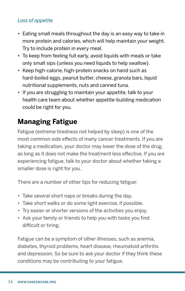#### *Loss of appetite*

- Eating small meals throughout the day is an easy way to take in more protein and calories, which will help maintain your weight. Try to include protein in every meal.
- To keep from feeling full early, avoid liquids with meals or take only small sips (unless you need liquids to help swallow).
- Keep high-calorie, high-protein snacks on hand such as hard-boiled eggs, peanut butter, cheese, granola bars, liquid nutritional supplements, nuts and canned tuna.
- If you are struggling to maintain your appetite, talk to your health care team about whether appetite-building medication could be right for you.

## **Managing Fatigue**

Fatigue (extreme tiredness not helped by sleep) is one of the most common side effects of many cancer treatments. If you are taking a medication, your doctor may lower the dose of the drug, as long as it does not make the treatment less effective. If you are experiencing fatigue, talk to your doctor about whether taking a smaller dose is right for you.

There are a number of other tips for reducing fatigue:

- Take several short naps or breaks during the day.
- Take short walks or do some light exercise, if possible.
- Try easier or shorter versions of the activities you enjoy.
- Ask your family or friends to help you with tasks you find difficult or tiring.

Fatigue can be a symptom of other illnesses, such as anemia, diabetes, thyroid problems, heart disease, rheumatoid arthritis and depression. So be sure to ask your doctor if they think these conditions may be contributing to your fatigue.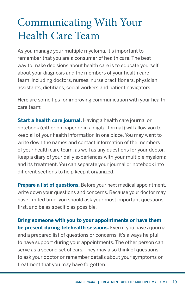# <span id="page-16-0"></span>Communicating With Your Health Care Team

As you manage your multiple myeloma, it's important to remember that you are a consumer of health care. The best way to make decisions about health care is to educate yourself about your diagnosis and the members of your health care team, including doctors, nurses, nurse practitioners, physician assistants, dietitians, social workers and patient navigators.

Here are some tips for improving communication with your health care team:

**Start a health care journal.** Having a health care journal or notebook (either on paper or in a digital format) will allow you to keep all of your health information in one place. You may want to write down the names and contact information of the members of your health care team, as well as any questions for your doctor. Keep a diary of your daily experiences with your multiple myeloma and its treatment. You can separate your journal or notebook into different sections to help keep it organized.

**Prepare a list of questions.** Before your next medical appointment, write down your questions and concerns. Because your doctor may have limited time, you should ask your most important questions first, and be as specific as possible.

**Bring someone with you to your appointments or have them be present during telehealth sessions.** Even if you have a journal and a prepared list of questions or concerns, it's always helpful to have support during your appointments. The other person can serve as a second set of ears. They may also think of questions to ask your doctor or remember details about your symptoms or treatment that you may have forgotten.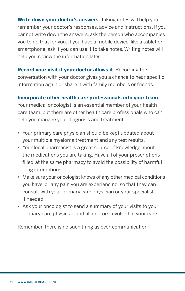**Write down your doctor's answers.** Taking notes will help you remember your doctor's responses, advice and instructions. If you cannot write down the answers, ask the person who accompanies you to do that for you. If you have a mobile device, like a tablet or smartphone, ask if you can use it to take notes. Writing notes will help you review the information later.

**Record your visit if your doctor allows it.** Recording the conversation with your doctor gives you a chance to hear specific information again or share it with family members or friends.

**Incorporate other health care professionals into your team.**

Your medical oncologist is an essential member of your health care team, but there are other health care professionals who can help you manage your diagnosis and treatment:

- Your primary care physician should be kept updated about your multiple myeloma treatment and any test results.
- Your local pharmacist is a great source of knowledge about the medications you are taking. Have all of your prescriptions filled at the same pharmacy to avoid the possibility of harmful drug interactions.
- Make sure your oncologist knows of any other medical conditions you have, or any pain you are experiencing, so that they can consult with your primary care physician or your specialist if needed.
- Ask your oncologist to send a summary of your visits to your primary care physician and all doctors involved in your care.

Remember, there is no such thing as over-communication.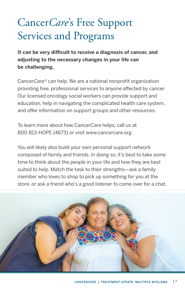# <span id="page-18-0"></span>Cancer*Care*'s Free Support Services and Programs

**It can be very difficult to receive a diagnosis of cancer, and adjusting to the necessary changes in your life can be challenging.** 

Cancer*Care®* can help. We are a national nonprofit organization providing free, professional services to anyone affected by cancer. Our licensed oncology social workers can provide support and education, help in navigating the complicated health care system, and offer information on support groups and other resources.

To learn more about how Cancer*Care* helps, call us at 800-813-HOPE (4673) or visit www.cancercare.org.

You will likely also build your own personal support network composed of family and friends. In doing so, it's best to take some time to think about the people in your life and how they are best suited to help. Match the task to their strengths—ask a family member who loves to shop to pick up something for you at the store, or ask a friend who's a good listener to come over for a chat.

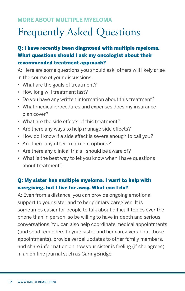#### <span id="page-19-0"></span>**MORE ABOUT MULTIPLE MYELOMA**

# Frequently Asked Questions

### Q: I have recently been diagnosed with multiple myeloma. What questions should I ask my oncologist about their recommended treatment approach?

A: Here are some questions you should ask; others will likely arise in the course of your discussions.

- What are the goals of treatment?
- How long will treatment last?
- Do you have any written information about this treatment?
- What medical procedures and expenses does my insurance plan cover?
- What are the side effects of this treatment?
- Are there any ways to help manage side effects?
- How do I know if a side effect is severe enough to call you?
- Are there any other treatment options?
- Are there any clinical trials I should be aware of?
- What is the best way to let you know when I have questions about treatment?

#### Q: My sister has multiple myeloma. I want to help with caregiving, but I live far away. What can I do?

A: Even from a distance, you can provide ongoing emotional support to your sister and to her primary caregiver. It is sometimes easier for people to talk about difficult topics over the phone than in person, so be willing to have in-depth and serious conversations. You can also help coordinate medical appointments (and send reminders to your sister and her caregiver about those appointments), provide verbal updates to other family members, and share information on how your sister is feeling (if she agrees) in an on-line journal such as CaringBridge.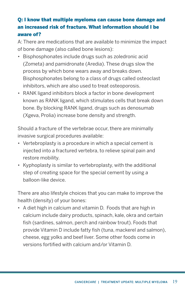### Q: I know that multiple myeloma can cause bone damage and an increased risk of fracture. What information should I be aware of?

A: There are medications that are available to minimize the impact of bone damage (also called bone lesions):

- Bisphosphonates include drugs such as zoledronic acid (Zometa) and pamidronate (Aredia). These drugs slow the process by which bone wears away and breaks down. Bisphosphonates belong to a class of drugs called osteoclast inhibitors, which are also used to treat osteoporosis.
- RANK ligand inhibitors block a factor in bone development known as RANK ligand, which stimulates cells that break down bone. By blocking RANK ligand, drugs such as denosumab (Xgeva, Prolia) increase bone density and strength.

Should a fracture of the vertebrae occur, there are minimally invasive surgical procedures available:

- Vertebroplasty is a procedure in which a special cement is injected into a fractured vertebra, to relieve spinal pain and restore mobility.
- Kyphoplasty is similar to vertebroplasty, with the additional step of creating space for the special cement by using a balloon-like device.

There are also lifestyle choices that you can make to improve the health (density) of your bones:

• A diet high in calcium and vitamin D. Foods that are high in calcium include dairy products, spinach, kale, okra and certain fish (sardines, salmon, perch and rainbow trout). Foods that provide Vitamin D include fatty fish (tuna, mackerel and salmon), cheese, egg yolks and beef liver. Some other foods come in versions fortified with calcium and/or Vitamin D.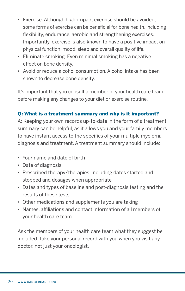- Exercise. Although high-impact exercise should be avoided, some forms of exercise can be beneficial for bone health, including flexibility, endurance, aerobic and strengthening exercises. Importantly, exercise is also known to have a positive impact on physical function, mood, sleep and overall quality of life.
- Eliminate smoking. Even minimal smoking has a negative effect on bone density.
- Avoid or reduce alcohol consumption. Alcohol intake has been shown to decrease bone density.

It's important that you consult a member of your health care team before making any changes to your diet or exercise routine.

#### Q: What is a treatment summary and why is it important?

A: Keeping your own records up-to-date in the form of a treatment summary can be helpful, as it allows you and your family members to have instant access to the specifics of your multiple myeloma diagnosis and treatment. A treatment summary should include:

- Your name and date of birth
- Date of diagnosis
- Prescribed therapy/therapies, including dates started and stopped and dosages when appropriate
- Dates and types of baseline and post-diagnosis testing and the results of these tests
- Other medications and supplements you are taking
- Names, affiliations and contact information of all members of your health care team

Ask the members of your health care team what they suggest be included. Take your personal record with you when you visit any doctor, not just your oncologist.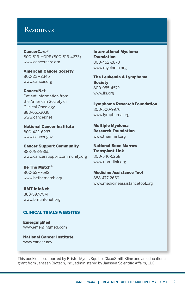### <span id="page-22-0"></span>Resources

Cancer*Care*® 800-813-HOPE (800-813-4673) [www.cancercare.org](https://www.cancercare.org/)

American Cancer Society 800-227-2345 [www.cancer.org](https://www.cancer.org/)

Cancer.Net Patient information from the American Society of Clinical Oncology 888-651-3038 [www.cancer.net](https://www.cancer.net/)

National Cancer Institute 800-422-6237 [www.cancer.gov](https://www.cancer.gov/)

Cancer Support Community 888-793-9355 [www.cancersupportcommunity.org](https://www.cancersupportcommunity.org/)

Be The Match® 800-627-7692 [www.bethematch.org](https://bethematch.org/)

BMT InfoNet 888-597-7674 [www.bmtinfonet.org](https://www.bmtinfonet.org/)

#### CLINICAL TRIALS WEBSITES

EmergingMed [www.emergingmed.com](https://app.emergingmed.com/emed/home) 

National Cancer Institute www.cancer.gov

International Myeloma Foundation 800-452-2873 [www.myeloma.org](https://www.myeloma.org/)

The Leukemia & Lymphoma **Society** 800-955-4572 [www.lls.org](https://www.lls.org/)

Lymphoma Research Foundation 800-500-9976 [www.lymphoma.org](https://lymphoma.org/)

Multiple Myeloma Research Foundation [www.themmrf.org](https://themmrf.org/)

National Bone Marrow Transplant Link 800-546-5268 [www.nbmtlink.org](https://www.nbmtlink.org/)

Medicine Assistance Tool 888-477-2669 www.medicineassistancetool.org

This booklet is supported by Bristol Myers Squibb, GlaxoSmithKline and an educational grant from Janssen Biotech, Inc., administered by Janssen Scientific Affairs, LLC.